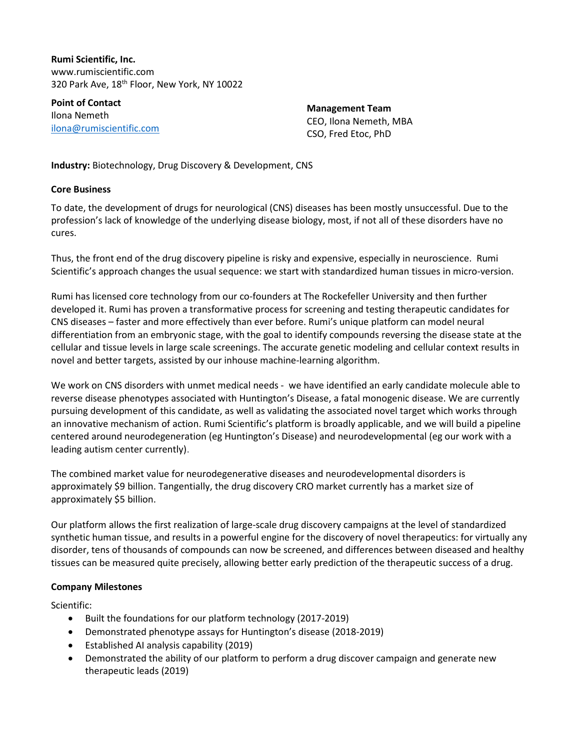**Rumi Scientific, Inc.** www.rumiscientific.com 320 Park Ave, 18th Floor, New York, NY 10022

**Point of Contact** Ilona Nemeth [ilona@rumiscientific.com](mailto:ilona@rumiscientific.com) 

**Management Team** CEO, Ilona Nemeth, MBA CSO, Fred Etoc, PhD

**Industry:** Biotechnology, Drug Discovery & Development, CNS

# **Core Business**

To date, the development of drugs for neurological (CNS) diseases has been mostly unsuccessful. Due to the profession's lack of knowledge of the underlying disease biology, most, if not all of these disorders have no cures.

Thus, the front end of the drug discovery pipeline is risky and expensive, especially in neuroscience. Rumi Scientific's approach changes the usual sequence: we start with standardized human tissues in micro-version.

Rumi has licensed core technology from our co-founders at The Rockefeller University and then further developed it. Rumi has proven a transformative process for screening and testing therapeutic candidates for CNS diseases – faster and more effectively than ever before. Rumi's unique platform can model neural differentiation from an embryonic stage, with the goal to identify compounds reversing the disease state at the cellular and tissue levels in large scale screenings. The accurate genetic modeling and cellular context results in novel and better targets, assisted by our inhouse machine-learning algorithm.

We work on CNS disorders with unmet medical needs - we have identified an early candidate molecule able to reverse disease phenotypes associated with Huntington's Disease, a fatal monogenic disease. We are currently pursuing development of this candidate, as well as validating the associated novel target which works through an innovative mechanism of action. Rumi Scientific's platform is broadly applicable, and we will build a pipeline centered around neurodegeneration (eg Huntington's Disease) and neurodevelopmental (eg our work with a leading autism center currently).

The combined market value for neurodegenerative diseases and neurodevelopmental disorders is approximately \$9 billion. Tangentially, the drug discovery CRO market currently has a market size of approximately \$5 billion.

Our platform allows the first realization of large-scale drug discovery campaigns at the level of standardized synthetic human tissue, and results in a powerful engine for the discovery of novel therapeutics: for virtually any disorder, tens of thousands of compounds can now be screened, and differences between diseased and healthy tissues can be measured quite precisely, allowing better early prediction of the therapeutic success of a drug.

# **Company Milestones**

Scientific:

- Built the foundations for our platform technology (2017-2019)
- Demonstrated phenotype assays for Huntington's disease (2018-2019)
- Established AI analysis capability (2019)
- Demonstrated the ability of our platform to perform a drug discover campaign and generate new therapeutic leads (2019)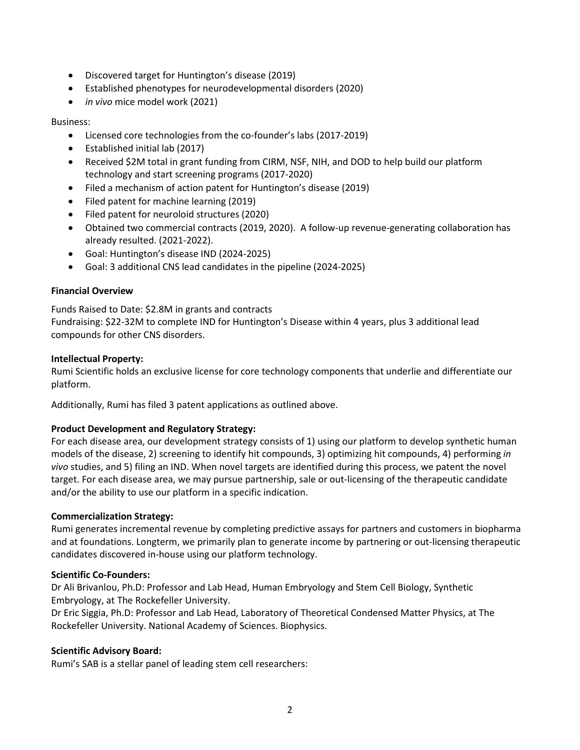- Discovered target for Huntington's disease (2019)
- Established phenotypes for neurodevelopmental disorders (2020)
- *in vivo* mice model work (2021)

# Business:

- Licensed core technologies from the co-founder's labs (2017-2019)
- Established initial lab (2017)
- Received \$2M total in grant funding from CIRM, NSF, NIH, and DOD to help build our platform technology and start screening programs (2017-2020)
- Filed a mechanism of action patent for Huntington's disease (2019)
- Filed patent for machine learning (2019)
- Filed patent for neuroloid structures (2020)
- Obtained two commercial contracts (2019, 2020). A follow-up revenue-generating collaboration has already resulted. (2021-2022).
- Goal: Huntington's disease IND (2024-2025)
- Goal: 3 additional CNS lead candidates in the pipeline (2024-2025)

## **Financial Overview**

Funds Raised to Date: \$2.8M in grants and contracts

Fundraising: \$22-32M to complete IND for Huntington's Disease within 4 years, plus 3 additional lead compounds for other CNS disorders.

## **Intellectual Property:**

Rumi Scientific holds an exclusive license for core technology components that underlie and differentiate our platform.

Additionally, Rumi has filed 3 patent applications as outlined above.

# **Product Development and Regulatory Strategy:**

For each disease area, our development strategy consists of 1) using our platform to develop synthetic human models of the disease, 2) screening to identify hit compounds, 3) optimizing hit compounds, 4) performing *in vivo* studies, and 5) filing an IND. When novel targets are identified during this process, we patent the novel target. For each disease area, we may pursue partnership, sale or out-licensing of the therapeutic candidate and/or the ability to use our platform in a specific indication.

# **Commercialization Strategy:**

Rumi generates incremental revenue by completing predictive assays for partners and customers in biopharma and at foundations. Longterm, we primarily plan to generate income by partnering or out-licensing therapeutic candidates discovered in-house using our platform technology.

# **Scientific Co-Founders:**

Dr Ali Brivanlou, Ph.D: Professor and Lab Head, Human Embryology and Stem Cell Biology, Synthetic Embryology, at The Rockefeller University.

Dr Eric Siggia, Ph.D: Professor and Lab Head, Laboratory of Theoretical Condensed Matter Physics, at The Rockefeller University. National Academy of Sciences. Biophysics.

# **Scientific Advisory Board:**

Rumi's SAB is a stellar panel of leading stem cell researchers: